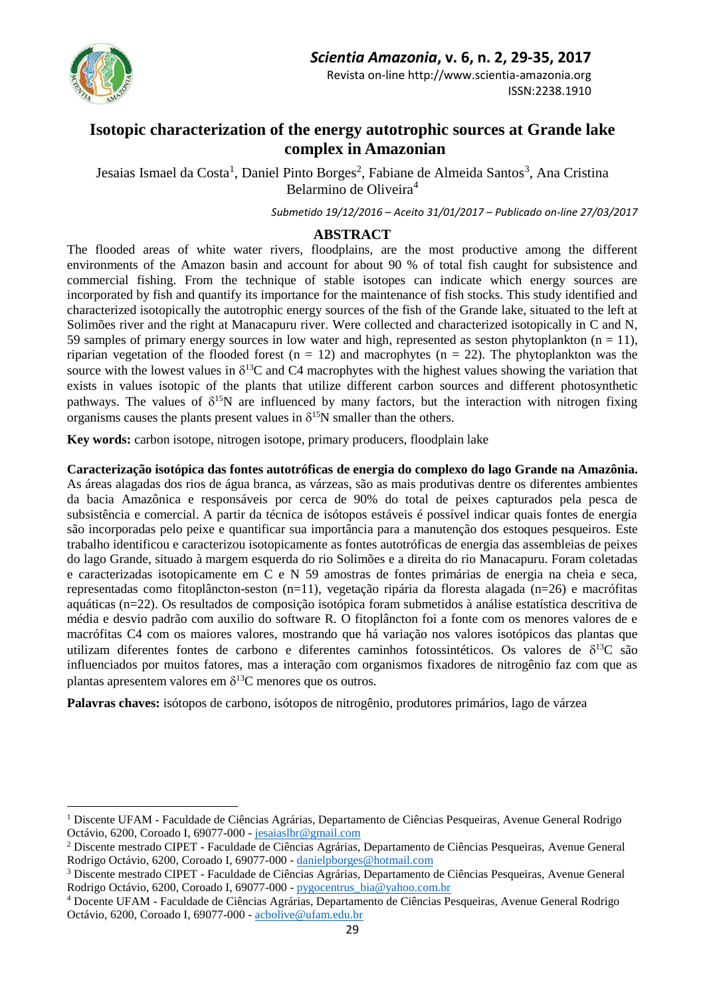

 $\overline{a}$ 

Revista on-line http://www.scientia-amazonia.org ISSN:2238.1910

# **Isotopic characterization of the energy autotrophic sources at Grande lake complex in Amazonian**

Jesaias Ismael da Costa<sup>1</sup>, Daniel Pinto Borges<sup>2</sup>, Fabiane de Almeida Santos<sup>3</sup>, Ana Cristina Belarmino de Oliveira<sup>4</sup>

*Submetido 19/12/2016 – Aceito 31/01/2017 – Publicado on-line 27/03/2017*

## **ABSTRACT**

The flooded areas of white water rivers, floodplains, are the most productive among the different environments of the Amazon basin and account for about 90 % of total fish caught for subsistence and commercial fishing. From the technique of stable isotopes can indicate which energy sources are incorporated by fish and quantify its importance for the maintenance of fish stocks. This study identified and characterized isotopically the autotrophic energy sources of the fish of the Grande lake, situated to the left at Solimões river and the right at Manacapuru river. Were collected and characterized isotopically in C and N, 59 samples of primary energy sources in low water and high, represented as seston phytoplankton ( $n = 11$ ), riparian vegetation of the flooded forest ( $n = 12$ ) and macrophytes ( $n = 22$ ). The phytoplankton was the source with the lowest values in  $\delta^{13}$ C and C4 macrophytes with the highest values showing the variation that exists in values isotopic of the plants that utilize different carbon sources and different photosynthetic pathways. The values of  $\delta^{15}N$  are influenced by many factors, but the interaction with nitrogen fixing organisms causes the plants present values in  $\delta^{15}N$  smaller than the others.

**Key words:** carbon isotope, nitrogen isotope, primary producers, floodplain lake

**Caracterização isotópica das fontes autotróficas de energia do complexo do lago Grande na Amazônia.**  As áreas alagadas dos rios de água branca, as várzeas, são as mais produtivas dentre os diferentes ambientes da bacia Amazônica e responsáveis por cerca de 90% do total de peixes capturados pela pesca de subsistência e comercial. A partir da técnica de isótopos estáveis é possível indicar quais fontes de energia são incorporadas pelo peixe e quantificar sua importância para a manutenção dos estoques pesqueiros. Este trabalho identificou e caracterizou isotopicamente as fontes autotróficas de energia das assembleias de peixes do lago Grande, situado à margem esquerda do rio Solimões e a direita do rio Manacapuru. Foram coletadas e caracterizadas isotopicamente em C e N 59 amostras de fontes primárias de energia na cheia e seca, representadas como fitoplâncton-seston (n=11), vegetação ripária da floresta alagada (n=26) e macrófitas aquáticas (n=22). Os resultados de composição isotópica foram submetidos à análise estatística descritiva de média e desvio padrão com auxilio do software R. O fitoplâncton foi a fonte com os menores valores de e macrófitas C4 com os maiores valores, mostrando que há variação nos valores isotópicos das plantas que utilizam diferentes fontes de carbono e diferentes caminhos fotossintéticos. Os valores de  $\delta^{13}C$  são influenciados por muitos fatores, mas a interação com organismos fixadores de nitrogênio faz com que as plantas apresentem valores em  $\delta^{13}$ C menores que os outros.

**Palavras chaves:** isótopos de carbono, isótopos de nitrogênio, produtores primários, lago de várzea

<sup>1</sup> Discente UFAM - Faculdade de Ciências Agrárias, Departamento de Ciências Pesqueiras, Avenue General Rodrigo Octávio, 6200, Coroado I, 69077-000 - [jesaiaslbr@gmail.com](mailto:jesaiaslbr@gmail.com)

<sup>2</sup> Discente mestrado CIPET - Faculdade de Ciências Agrárias, Departamento de Ciências Pesqueiras, Avenue General Rodrigo Octávio, 6200, Coroado I, 69077-000 - [danielpborges@hotmail.com](mailto:danielpborges@hotmail.com)

<sup>3</sup> Discente mestrado CIPET - Faculdade de Ciências Agrárias, Departamento de Ciências Pesqueiras, Avenue General Rodrigo Octávio, 6200, Coroado I, 69077-000 - [pygocentrus\\_bia@yahoo.com.br](mailto:pygocentrus_bia@yahoo.com.br)

<sup>4</sup> Docente UFAM - Faculdade de Ciências Agrárias, Departamento de Ciências Pesqueiras, Avenue General Rodrigo Octávio, 6200, Coroado I, 69077-000 - [acbolive@ufam.edu.br](mailto:acbolive@ufam.edu.br)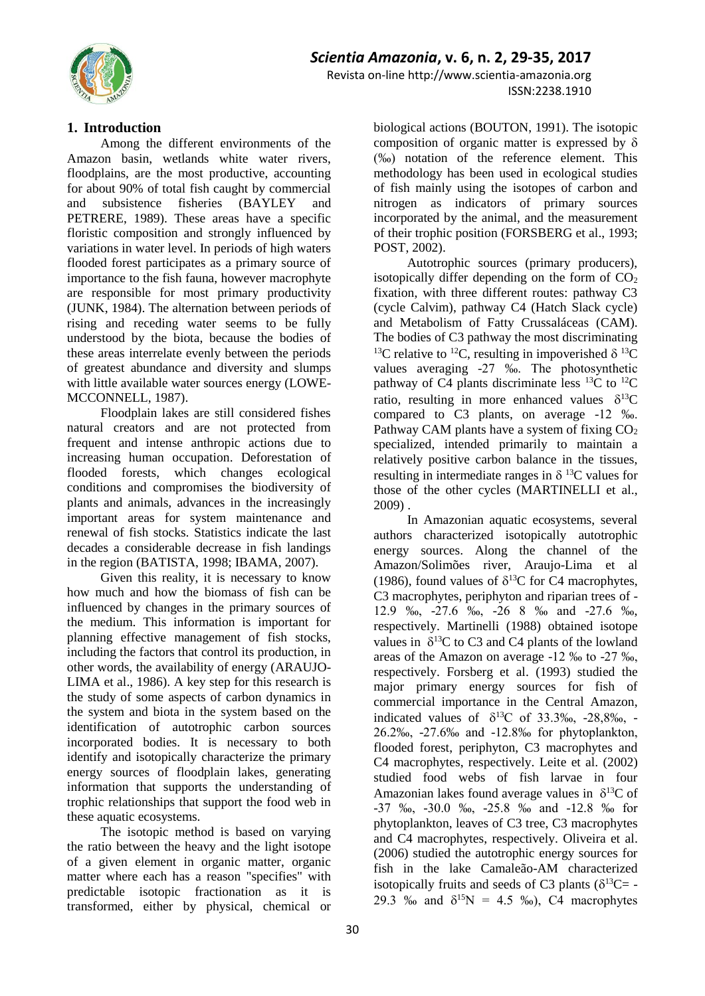

Revista on-line http://www.scientia-amazonia.org ISSN:2238.1910

### **1. Introduction**

Among the different environments of the Amazon basin, wetlands white water rivers, floodplains, are the most productive, accounting for about 90% of total fish caught by commercial and subsistence fisheries (BAYLEY and PETRERE, 1989). These areas have a specific floristic composition and strongly influenced by variations in water level. In periods of high waters flooded forest participates as a primary source of importance to the fish fauna, however macrophyte are responsible for most primary productivity (JUNK, 1984). The alternation between periods of rising and receding water seems to be fully understood by the biota, because the bodies of these areas interrelate evenly between the periods of greatest abundance and diversity and slumps with little available water sources energy (LOWE-MCCONNELL, 1987).

Floodplain lakes are still considered fishes natural creators and are not protected from frequent and intense anthropic actions due to increasing human occupation. Deforestation of flooded forests, which changes ecological conditions and compromises the biodiversity of plants and animals, advances in the increasingly important areas for system maintenance and renewal of fish stocks. Statistics indicate the last decades a considerable decrease in fish landings in the region (BATISTA, 1998; IBAMA, 2007).

Given this reality, it is necessary to know how much and how the biomass of fish can be influenced by changes in the primary sources of the medium. This information is important for planning effective management of fish stocks, including the factors that control its production, in other words, the availability of energy (ARAUJO-LIMA et al., 1986). A key step for this research is the study of some aspects of carbon dynamics in the system and biota in the system based on the identification of autotrophic carbon sources incorporated bodies. It is necessary to both identify and isotopically characterize the primary energy sources of floodplain lakes, generating information that supports the understanding of trophic relationships that support the food web in these aquatic ecosystems.

The isotopic method is based on varying the ratio between the heavy and the light isotope of a given element in organic matter, organic matter where each has a reason "specifies" with predictable isotopic fractionation as it is transformed, either by physical, chemical or

biological actions (BOUTON, 1991). The isotopic composition of organic matter is expressed by  $\delta$ (‰) notation of the reference element. This methodology has been used in ecological studies of fish mainly using the isotopes of carbon and nitrogen as indicators of primary sources incorporated by the animal, and the measurement of their trophic position (FORSBERG et al., 1993; POST, 2002).

Autotrophic sources (primary producers), isotopically differ depending on the form of  $CO<sub>2</sub>$ fixation, with three different routes: pathway C3 (cycle Calvim), pathway C4 (Hatch Slack cycle) and Metabolism of Fatty Crussaláceas (CAM). The bodies of C3 pathway the most discriminating <sup>13</sup>C relative to <sup>12</sup>C, resulting in impoverished  $\delta$  <sup>13</sup>C values averaging -27 ‰. The photosynthetic pathway of  $C4$  plants discriminate less <sup>13</sup>C to <sup>12</sup>C ratio, resulting in more enhanced values  $\delta^{13}C$ compared to C3 plants, on average -12 ‰. Pathway CAM plants have a system of fixing  $CO<sub>2</sub>$ specialized, intended primarily to maintain a relatively positive carbon balance in the tissues, resulting in intermediate ranges in  $\delta^{13}$ C values for those of the other cycles (MARTINELLI et al., 2009) .

In Amazonian aquatic ecosystems, several authors characterized isotopically autotrophic energy sources. Along the channel of the Amazon/Solimões river, Araujo-Lima et al (1986), found values of  $\delta^{13}$ C for C4 macrophytes, C3 macrophytes, periphyton and riparian trees of - 12.9 ‰, -27.6 ‰, -26 8 ‰ and -27.6 ‰, respectively. Martinelli (1988) obtained isotope values in  $\delta^{13}C$  to C3 and C4 plants of the lowland areas of the Amazon on average -12 ‰ to -27 ‰, respectively. Forsberg et al. (1993) studied the major primary energy sources for fish of commercial importance in the Central Amazon, indicated values of  $\delta^{13}C$  of 33.3‰, -28,8‰, -26.2‰, -27.6‰ and -12.8‰ for phytoplankton, flooded forest, periphyton, C3 macrophytes and C4 macrophytes, respectively. Leite et al. (2002) studied food webs of fish larvae in four Amazonian lakes found average values in  $\delta^{13}C$  of -37 ‰, -30.0 ‰, -25.8 ‰ and -12.8 ‰ for phytoplankton, leaves of C3 tree, C3 macrophytes and C4 macrophytes, respectively. Oliveira et al. (2006) studied the autotrophic energy sources for fish in the lake Camaleão-AM characterized isotopically fruits and seeds of C3 plants ( $\delta^{13}C = -$ 29.3 ‰ and  $\delta^{15}N = 4.5$  ‰), C4 macrophytes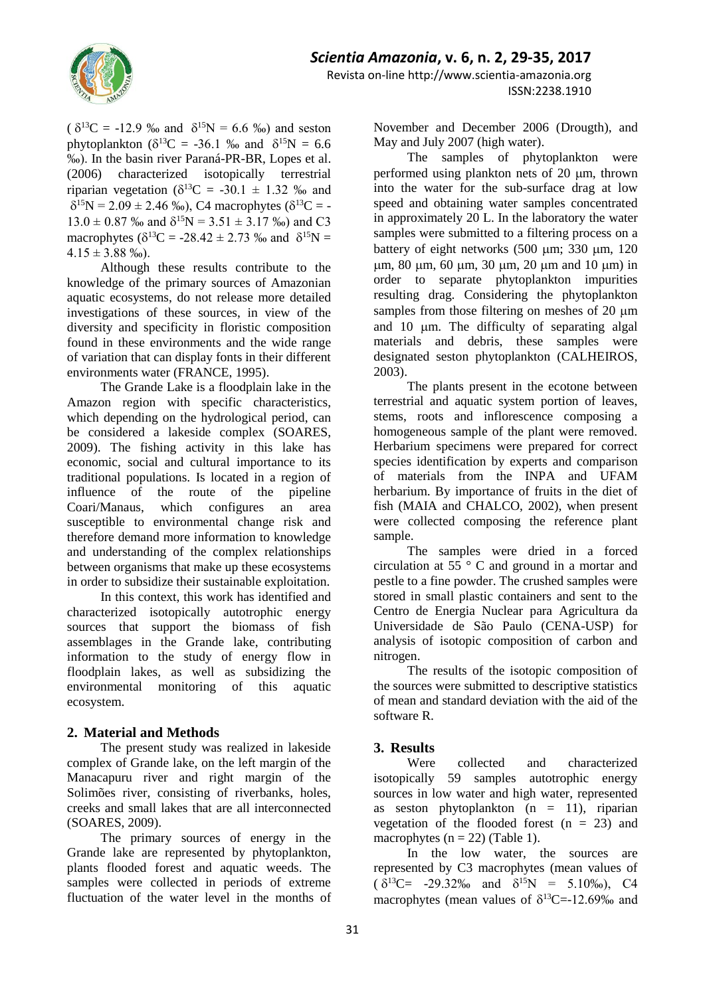

 $( \delta^{13}C = -12.9 \text{ %}$  and  $\delta^{15}N = 6.6 \text{ %}$  and seston phytoplankton ( $\delta^{13}C = -36.1$  ‰ and  $\delta^{15}N = 6.6$ ‰). In the basin river Paraná-PR-BR, Lopes et al. (2006) characterized isotopically terrestrial riparian vegetation ( $\delta^{13}C = -30.1 \pm 1.32$  ‰ and  $\delta^{15}N = 2.09 \pm 2.46$  ‰), C4 macrophytes ( $\delta^{13}C = 13.0 \pm 0.87$  ‰ and  $\delta^{15}N = 3.51 \pm 3.17$  ‰) and C3 macrophytes ( $\delta^{13}C = -28.42 \pm 2.73$  ‰ and  $\delta^{15}N =$  $4.15 \pm 3.88$  ‰).

Although these results contribute to the knowledge of the primary sources of Amazonian aquatic ecosystems, do not release more detailed investigations of these sources, in view of the diversity and specificity in floristic composition found in these environments and the wide range of variation that can display fonts in their different environments water (FRANCE, 1995).

The Grande Lake is a floodplain lake in the Amazon region with specific characteristics, which depending on the hydrological period, can be considered a lakeside complex (SOARES, 2009). The fishing activity in this lake has economic, social and cultural importance to its traditional populations. Is located in a region of influence of the route of the pipeline Coari/Manaus, which configures an area susceptible to environmental change risk and therefore demand more information to knowledge and understanding of the complex relationships between organisms that make up these ecosystems in order to subsidize their sustainable exploitation.

In this context, this work has identified and characterized isotopically autotrophic energy sources that support the biomass of fish assemblages in the Grande lake, contributing information to the study of energy flow in floodplain lakes, as well as subsidizing the environmental monitoring of this aquatic ecosystem.

### **2. Material and Methods**

The present study was realized in lakeside complex of Grande lake, on the left margin of the Manacapuru river and right margin of the Solimões river, consisting of riverbanks, holes, creeks and small lakes that are all interconnected (SOARES, 2009).

The primary sources of energy in the Grande lake are represented by phytoplankton, plants flooded forest and aquatic weeds. The samples were collected in periods of extreme fluctuation of the water level in the months of November and December 2006 (Drougth), and May and July 2007 (high water).

The samples of phytoplankton were performed using plankton nets of  $20 \mu m$ , thrown into the water for the sub-surface drag at low speed and obtaining water samples concentrated in approximately 20 L. In the laboratory the water samples were submitted to a filtering process on a battery of eight networks  $(500 \text{ µm}; 330 \text{ µm}, 120)$  $\mu$ m, 80  $\mu$ m, 60  $\mu$ m, 30  $\mu$ m, 20  $\mu$ m and 10  $\mu$ m) in order to separate phytoplankton impurities resulting drag. Considering the phytoplankton samples from those filtering on meshes of 20  $\mu$ m and 10 µm. The difficulty of separating algal materials and debris, these samples were designated seston phytoplankton (CALHEIROS, 2003).

The plants present in the ecotone between terrestrial and aquatic system portion of leaves, stems, roots and inflorescence composing a homogeneous sample of the plant were removed. Herbarium specimens were prepared for correct species identification by experts and comparison of materials from the INPA and UFAM herbarium. By importance of fruits in the diet of fish (MAIA and CHALCO, 2002), when present were collected composing the reference plant sample.

The samples were dried in a forced circulation at  $55^\circ$  C and ground in a mortar and pestle to a fine powder. The crushed samples were stored in small plastic containers and sent to the Centro de Energia Nuclear para Agricultura da Universidade de São Paulo (CENA-USP) for analysis of isotopic composition of carbon and nitrogen.

The results of the isotopic composition of the sources were submitted to descriptive statistics of mean and standard deviation with the aid of the software R.

## **3. Results**

Were collected and characterized isotopically 59 samples autotrophic energy sources in low water and high water, represented as seston phytoplankton  $(n = 11)$ , riparian vegetation of the flooded forest  $(n = 23)$  and macrophytes ( $n = 22$ ) (Table 1).

In the low water, the sources are represented by C3 macrophytes (mean values of  $(\delta^{13}C = -29.32\% \text{ and } \delta^{15}N = 5.10\% \text{), C4}$ macrophytes (mean values of  $\delta^{13}C = -12.69\%$  and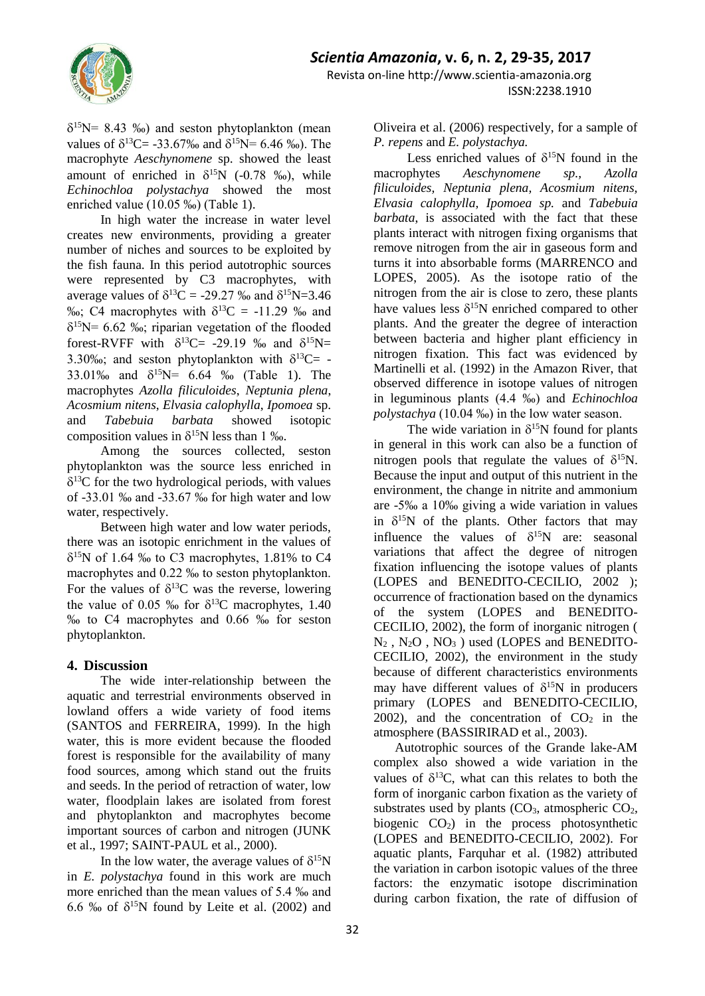

 $\delta^{15}$ N= 8.43 ‰) and seston phytoplankton (mean values of  $\delta^{13}$ C= -33.67‰ and  $\delta^{15}$ N= 6.46 ‰). The macrophyte *Aeschynomene* sp. showed the least amount of enriched in  $\delta^{15}N$  (-0.78 ‰), while *Echinochloa polystachya* showed the most enriched value (10.05 ‰) (Table 1).

In high water the increase in water level creates new environments, providing a greater number of niches and sources to be exploited by the fish fauna. In this period autotrophic sources were represented by C3 macrophytes, with average values of  $\delta^{13}C = -29.27$  ‰ and  $\delta^{15}N = 3.46$ %%; C4 macrophytes with  $\delta^{13}C = -11.29$  % and  $\delta^{15}N= 6.62$  ‰; riparian vegetation of the flooded forest-RVFF with  $\delta^{13}C = -29.19$  ‰ and  $\delta^{15}N =$ 3.30‰; and seston phytoplankton with  $\delta^{13}C=$  -33.01‰ and  $\delta^{15}N = 6.64$  ‰ (Table 1). The macrophytes *Azolla filiculoides*, *Neptunia plena*, *Acosmium nitens*, *Elvasia calophylla*, *Ipomoea* sp. and *Tabebuia barbata* showed isotopic composition values in  $\delta^{15}N$  less than 1 ‰.

Among the sources collected, seston phytoplankton was the source less enriched in  $\delta^{13}$ C for the two hydrological periods, with values of -33.01 ‰ and -33.67 ‰ for high water and low water, respectively.

Between high water and low water periods, there was an isotopic enrichment in the values of  $\delta^{15}$ N of 1.64 ‰ to C3 macrophytes, 1.81% to C4 macrophytes and 0.22 ‰ to seston phytoplankton. For the values of  $\delta^{13}$ C was the reverse, lowering the value of 0.05 ‰ for  $\delta^{13}$ C macrophytes, 1.40 ‰ to C4 macrophytes and 0.66 ‰ for seston phytoplankton.

### **4. Discussion**

The wide inter-relationship between the aquatic and terrestrial environments observed in lowland offers a wide variety of food items (SANTOS and FERREIRA, 1999). In the high water, this is more evident because the flooded forest is responsible for the availability of many food sources, among which stand out the fruits and seeds. In the period of retraction of water, low water, floodplain lakes are isolated from forest and phytoplankton and macrophytes become important sources of carbon and nitrogen (JUNK et al., 1997; SAINT-PAUL et al., 2000).

In the low water, the average values of  $\delta^{15}N$ in *E. polystachya* found in this work are much more enriched than the mean values of 5.4 ‰ and 6.6 ‰ of  $\delta^{15}N$  found by Leite et al. (2002) and Oliveira et al. (2006) respectively, for a sample of *P. repens* and *E. polystachya.*

Less enriched values of  $\delta^{15}N$  found in the macrophytes *Aeschynomene sp., Azolla filiculoides, Neptunia plena, Acosmium nitens, Elvasia calophylla, Ipomoea sp.* and *Tabebuia barbata*, is associated with the fact that these plants interact with nitrogen fixing organisms that remove nitrogen from the air in gaseous form and turns it into absorbable forms (MARRENCO and LOPES, 2005). As the isotope ratio of the nitrogen from the air is close to zero, these plants have values less  $\delta^{15}N$  enriched compared to other plants. And the greater the degree of interaction between bacteria and higher plant efficiency in nitrogen fixation. This fact was evidenced by Martinelli et al. (1992) in the Amazon River, that observed difference in isotope values of nitrogen in leguminous plants (4.4 ‰) and *Echinochloa polystachya* (10.04 ‰) in the low water season.

The wide variation in  $\delta^{15}N$  found for plants in general in this work can also be a function of nitrogen pools that regulate the values of  $\delta^{15}N$ . Because the input and output of this nutrient in the environment, the change in nitrite and ammonium are -5‰ a 10‰ giving a wide variation in values in  $\delta^{15}N$  of the plants. Other factors that may influence the values of  $\delta^{15}N$  are: seasonal variations that affect the degree of nitrogen fixation influencing the isotope values of plants (LOPES and BENEDITO-CECILIO, 2002 ); occurrence of fractionation based on the dynamics of the system (LOPES and BENEDITO-CECILIO, 2002), the form of inorganic nitrogen (  $N_2$ ,  $N_2O$ ,  $NO_3$ ) used (LOPES and BENEDITO-CECILIO, 2002), the environment in the study because of different characteristics environments may have different values of  $\delta^{15}N$  in producers primary (LOPES and BENEDITO-CECILIO, 2002), and the concentration of  $CO<sub>2</sub>$  in the atmosphere (BASSIRIRAD et al., 2003).

Autotrophic sources of the Grande lake-AM complex also showed a wide variation in the values of  $\delta^{13}C$ , what can this relates to both the form of inorganic carbon fixation as the variety of substrates used by plants  $(CO_3, \text{ atmospheric } CO_2$ , biogenic  $CO<sub>2</sub>$ ) in the process photosynthetic (LOPES and BENEDITO-CECILIO, 2002). For aquatic plants, Farquhar et al. (1982) attributed the variation in carbon isotopic values of the three factors: the enzymatic isotope discrimination during carbon fixation, the rate of diffusion of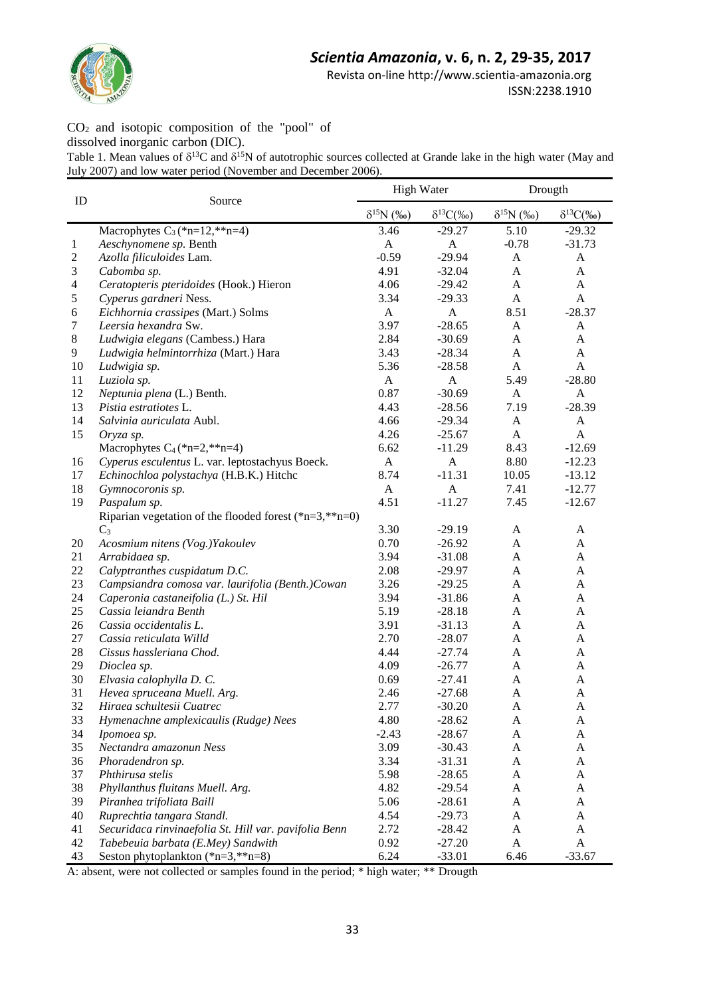*Scientia Amazonia***, v. 6, n. 2, 29-35, 2017**



Revista on-line http://www.scientia-amazonia.org

ISSN:2238.1910

CO<sup>2</sup> and isotopic composition of the "pool" of dissolved inorganic carbon (DIC).

Table 1. Mean values of  $\delta^{13}C$  and  $\delta^{15}N$  of autotrophic sources collected at Grande lake in the high water (May and July 2007) and low water period (November and December 2006).

| ID                       | Source                                                    | <b>High Water</b>   |                                  | Drougth             |                     |
|--------------------------|-----------------------------------------------------------|---------------------|----------------------------------|---------------------|---------------------|
|                          |                                                           | $\delta^{15}N($ %0) | $\delta^{13}C(\%$ <sub>0</sub> ) | $\delta^{15}N$ (%o) | $\delta^{13}C(\%0)$ |
|                          | Macrophytes $C_3$ (*n=12,**n=4)                           | 3.46                | $-29.27$                         | 5.10                | $-29.32$            |
| 1                        | Aeschynomene sp. Benth                                    | A                   | A                                | $-0.78$             | $-31.73$            |
| $\overline{c}$           | Azolla filiculoides Lam.                                  | $-0.59$             | $-29.94$                         | A                   | A                   |
| 3                        | Cabomba sp.                                               | 4.91                | $-32.04$                         | A                   | A                   |
| $\overline{\mathcal{L}}$ | Ceratopteris pteridoides (Hook.) Hieron                   | 4.06                | $-29.42$                         | A                   | A                   |
| 5                        | Cyperus gardneri Ness.                                    | 3.34                | $-29.33$                         | A                   | A                   |
| 6                        | Eichhornia crassipes (Mart.) Solms                        | $\mathbf{A}$        | $\mathbf{A}$                     | 8.51                | $-28.37$            |
| 7                        | Leersia hexandra Sw.                                      | 3.97                | $-28.65$                         | A                   | A                   |
| 8                        | Ludwigia elegans (Cambess.) Hara                          | 2.84                | $-30.69$                         | A                   | A                   |
| 9                        | Ludwigia helmintorrhiza (Mart.) Hara                      | 3.43                | $-28.34$                         | $\mathbf{A}$        | A                   |
| 10                       | Ludwigia sp.                                              | 5.36                | $-28.58$                         | $\mathbf{A}$        | A                   |
| 11                       | Luziola sp.                                               | $\mathbf{A}$        | A                                | 5.49                | $-28.80$            |
| 12                       | Neptunia plena (L.) Benth.                                | 0.87                | $-30.69$                         | A                   | A                   |
| 13                       | Pistia estratiotes L.                                     | 4.43                | $-28.56$                         | 7.19                | $-28.39$            |
| 14                       | Salvinia auriculata Aubl.                                 | 4.66                | $-29.34$                         | A                   | A                   |
| 15                       | Oryza sp.                                                 | 4.26                | $-25.67$                         | $\mathbf{A}$        | A                   |
|                          | Macrophytes $C_4$ (*n=2,**n=4)                            | 6.62                | $-11.29$                         | 8.43                | $-12.69$            |
| 16                       | Cyperus esculentus L. var. leptostachyus Boeck.           | $\mathbf{A}$        | $\mathbf{A}$                     | 8.80                | $-12.23$            |
| 17                       | Echinochloa polystachya (H.B.K.) Hitchc                   | 8.74                | $-11.31$                         | 10.05               | $-13.12$            |
| 18                       | Gymnocoronis sp.                                          | $\mathbf{A}$        | $\mathbf{A}$                     | 7.41                | $-12.77$            |
| 19                       | Paspalum sp.                                              | 4.51                | $-11.27$                         | 7.45                | $-12.67$            |
|                          | Riparian vegetation of the flooded forest $(*n=3, **n=0)$ |                     |                                  |                     |                     |
|                          | $C_3$                                                     | 3.30                | $-29.19$                         | A                   | A                   |
| 20                       | Acosmium nitens (Vog.)Yakoulev                            | 0.70                | $-26.92$                         | A                   | A                   |
| 21                       | Arrabidaea sp.                                            | 3.94                | $-31.08$                         | A                   | A                   |
| 22                       | Calyptranthes cuspidatum D.C.                             | 2.08                | $-29.97$                         | A                   | A                   |
| 23                       | Campsiandra comosa var. laurifolia (Benth.)Cowan          | 3.26                | $-29.25$                         | A                   | A                   |
| 24                       | Caperonia castaneifolia (L.) St. Hil                      | 3.94                | $-31.86$                         | A                   | A                   |
|                          | Cassia leiandra Benth                                     | 5.19                |                                  |                     |                     |
| 25                       |                                                           |                     | $-28.18$                         | A                   | $\mathbf{A}$        |
| 26                       | Cassia occidentalis L.                                    | 3.91                | $-31.13$                         | A                   | A                   |
| 27                       | Cassia reticulata Willd                                   | 2.70                | $-28.07$                         | $\mathbf{A}$        | A                   |
| 28                       | Cissus hassleriana Chod.                                  | 4.44                | $-27.74$                         | A                   | A                   |
| 29                       | Dioclea sp.                                               | 4.09                | $-26.77$                         | A                   | A                   |
| 30                       | Elvasia calophylla D. C.                                  | 0.69                | $-27.41$                         | A                   | A                   |
| 31                       | Hevea spruceana Muell. Arg.                               | 2.46                | $-27.68$                         | A                   | A                   |
| 32                       | Hiraea schultesii Cuatrec                                 | 2.77                | $-30.20$                         | A                   | A                   |
| 33                       | Hymenachne amplexicaulis (Rudge) Nees                     | 4.80                | $-28.62$                         | A                   | A                   |
| 34                       | Ipomoea sp.                                               | $-2.43$             | $-28.67$                         | A                   | A                   |
| 35                       | Nectandra amazonun Ness                                   | 3.09                | $-30.43$                         | A                   | A                   |
| 36                       | Phoradendron sp.                                          | 3.34                | $-31.31$                         | A                   | A                   |
| 37                       | Phthirusa stelis                                          | 5.98                | $-28.65$                         | A                   | A                   |
| 38                       | Phyllanthus fluitans Muell. Arg.                          | 4.82                | $-29.54$                         | A                   | A                   |
| 39                       | Piranhea trifoliata Baill                                 | 5.06                | $-28.61$                         | A                   | A                   |
| 40                       | Ruprechtia tangara Standl.                                | 4.54                | $-29.73$                         | A                   | A                   |
| 41                       | Securidaca rinvinaefolia St. Hill var. pavifolia Benn     | 2.72                | $-28.42$                         | A                   | A                   |
| 42                       | Tabebeuia barbata (E.Mey) Sandwith                        | 0.92                | $-27.20$                         | $\mathbf{A}$        | A                   |
| 43                       | Seston phytoplankton $(*n=3, **n=8)$                      | 6.24                | $-33.01$                         | 6.46                | $-33.67$            |

A: absent, were not collected or samples found in the period; \* high water; \*\* Drougth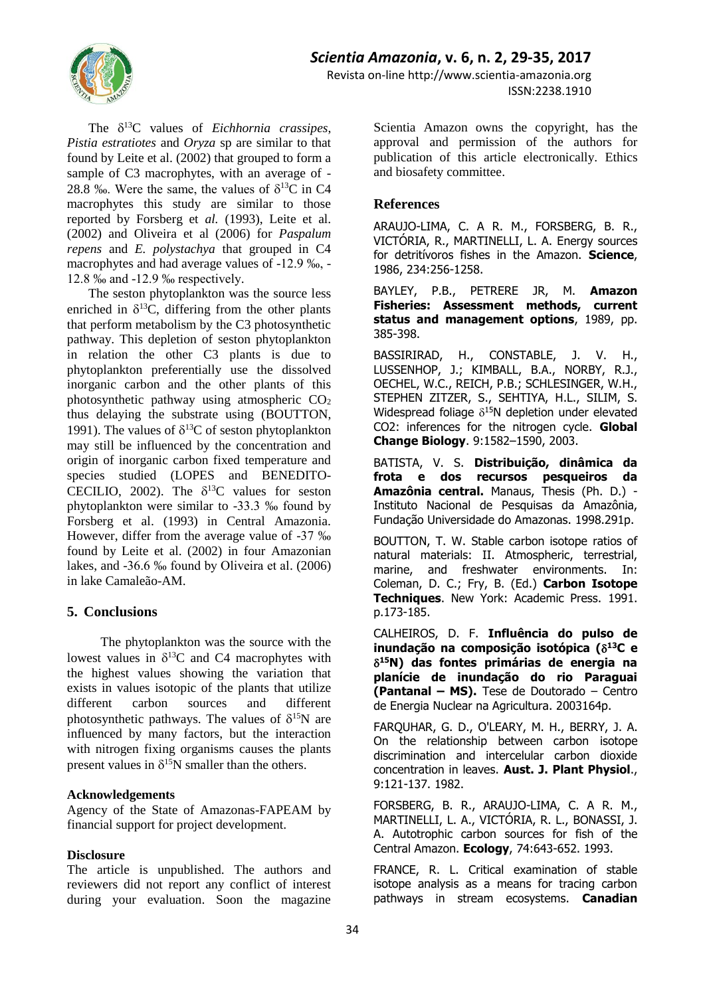# *Scientia Amazonia***, v. 6, n. 2, 29-35, 2017**



The  $\delta^{13}$ C values of *Eichhornia crassipes*, *Pistia estratiotes* and *Oryza* sp are similar to that found by Leite et al. (2002) that grouped to form a sample of C3 macrophytes, with an average of - 28.8 ‰. Were the same, the values of  $\delta^{13}C$  in C4 macrophytes this study are similar to those reported by Forsberg et *al.* (1993), Leite et al. (2002) and Oliveira et al (2006) for *Paspalum repens* and *E. polystachya* that grouped in C4 macrophytes and had average values of -12.9 ‰, - 12.8 ‰ and -12.9 ‰ respectively.

The seston phytoplankton was the source less enriched in  $\delta^{13}C$ , differing from the other plants that perform metabolism by the C3 photosynthetic pathway. This depletion of seston phytoplankton in relation the other C3 plants is due to phytoplankton preferentially use the dissolved inorganic carbon and the other plants of this photosynthetic pathway using atmospheric  $CO<sub>2</sub>$ thus delaying the substrate using (BOUTTON, 1991). The values of  $\delta^{13}C$  of seston phytoplankton may still be influenced by the concentration and origin of inorganic carbon fixed temperature and species studied (LOPES and BENEDITO-CECILIO, 2002). The  $\delta^{13}$ C values for seston phytoplankton were similar to -33.3 ‰ found by Forsberg et al. (1993) in Central Amazonia. However, differ from the average value of -37 ‰ found by Leite et al. (2002) in four Amazonian lakes, and -36.6 ‰ found by Oliveira et al. (2006) in lake Camaleão-AM.

### **5. Conclusions**

The phytoplankton was the source with the lowest values in  $\delta^{13}$ C and C4 macrophytes with the highest values showing the variation that exists in values isotopic of the plants that utilize different carbon sources and different photosynthetic pathways. The values of  $\delta^{15}N$  are influenced by many factors, but the interaction with nitrogen fixing organisms causes the plants present values in  $\delta^{15}N$  smaller than the others.

#### **Acknowledgements**

Agency of the State of Amazonas-FAPEAM by financial support for project development.

### **Disclosure**

The article is unpublished. The authors and reviewers did not report any conflict of interest during your evaluation. Soon the magazine

Revista on-line http://www.scientia-amazonia.org ISSN:2238.1910

> Scientia Amazon owns the copyright, has the approval and permission of the authors for publication of this article electronically. Ethics and biosafety committee.

### **References**

ARAUJO-LIMA, C. A R. M., FORSBERG, B. R., VICTÓRIA, R., MARTINELLI, L. A. Energy sources for detritívoros fishes in the Amazon. **Science**, 1986, 234:256-1258.

BAYLEY, P.B., PETRERE JR, M. **Amazon Fisheries: Assessment methods, current status and management options**, 1989, pp. 385-398.

BASSIRIRAD, H., CONSTABLE, J. V. H., LUSSENHOP, J.; KIMBALL, B.A., NORBY, R.J., OECHEL, W.C., REICH, P.B.; SCHLESINGER, W.H., STEPHEN ZITZER, S., SEHTIYA, H.L., SILIM, S. Widespread foliage  $\delta^{15}N$  depletion under elevated CO2: inferences for the nitrogen cycle. **Global Change Biology**. 9:1582–1590, 2003.

BATISTA, V. S. **Distribuição, dinâmica da frota e dos recursos pesqueiros da Amazônia central.** Manaus, Thesis (Ph. D.) - Instituto Nacional de Pesquisas da Amazônia, Fundação Universidade do Amazonas. 1998.291p.

BOUTTON, T. W. Stable carbon isotope ratios of natural materials: II. Atmospheric, terrestrial, marine, and freshwater environments. In: Coleman, D. C.; Fry, B. (Ed.) **Carbon Isotope Techniques**. New York: Academic Press. 1991. p.173-185.

CALHEIROS, D. F. **Influência do pulso de inundação na composição isotópica ( <sup>13</sup>C e <sup>15</sup>N) das fontes primárias de energia na planície de inundação do rio Paraguai (Pantanal – MS).** Tese de Doutorado – Centro de Energia Nuclear na Agricultura. 2003164p.

FARQUHAR, G. D., O'LEARY, M. H., BERRY, J. A. On the relationship between carbon isotope discrimination and intercelular carbon dioxide concentration in leaves. **Aust. J. Plant Physiol**., 9:121-137. 1982.

FORSBERG, B. R., ARAUJO-LIMA, C. A R. M., MARTINELLI, L. A., VICTÓRIA, R. L., BONASSI, J. A. Autotrophic carbon sources for fish of the Central Amazon. **Ecology**, 74:643-652. 1993.

FRANCE, R. L. Critical examination of stable isotope analysis as a means for tracing carbon pathways in stream ecosystems. **Canadian**